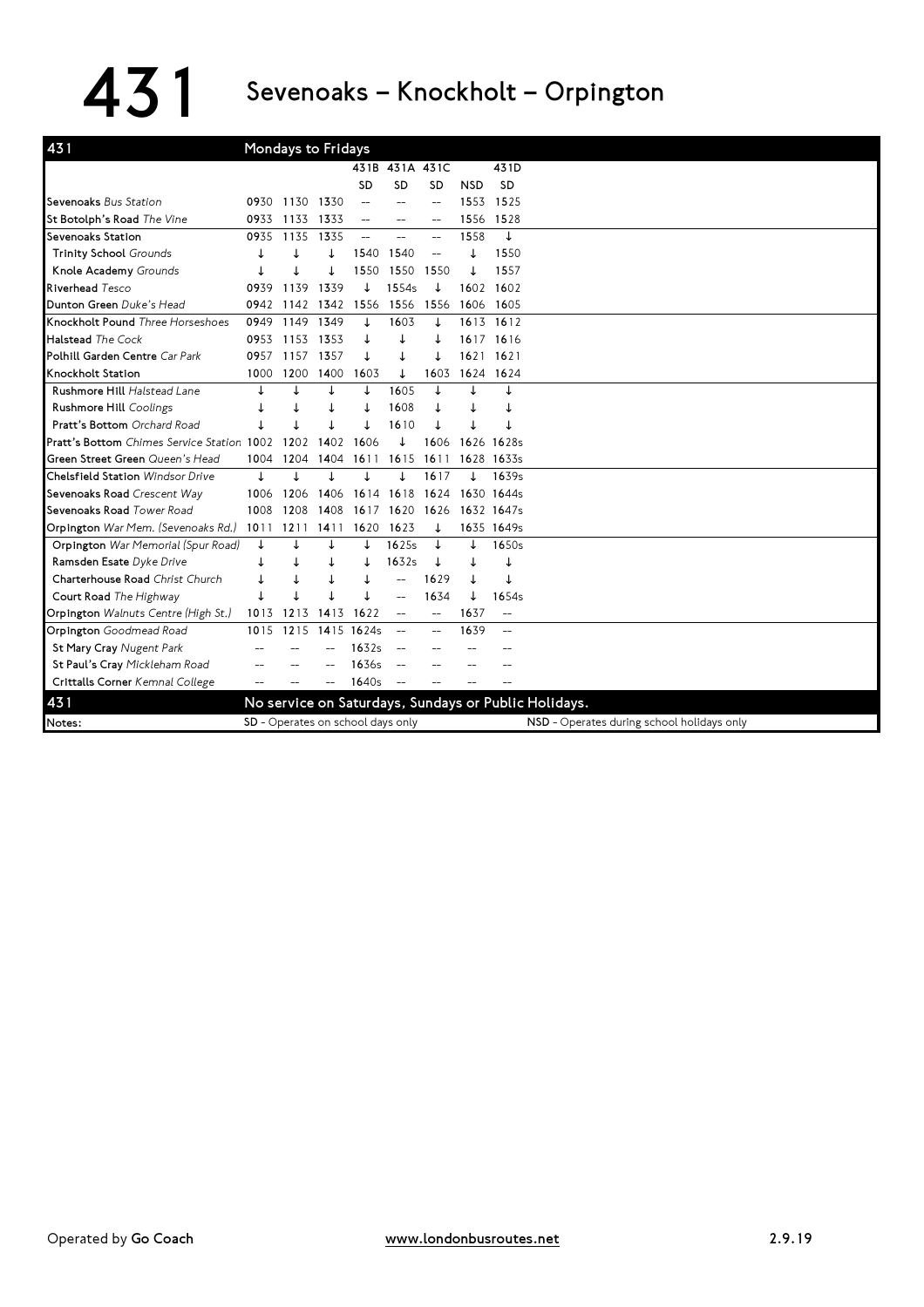## 431 Sevenoaks – Knockholt – Orpington

| 431                                        |      | Mondays to Fridays |      |                                   |                |                |            |                          |                                                                                                    |
|--------------------------------------------|------|--------------------|------|-----------------------------------|----------------|----------------|------------|--------------------------|----------------------------------------------------------------------------------------------------|
|                                            |      |                    |      | 431B                              | 431A 431C      |                |            | 431D                     |                                                                                                    |
|                                            |      |                    |      | SD                                | <b>SD</b>      | SD             | <b>NSD</b> | <b>SD</b>                |                                                                                                    |
| Sevenoaks Bus Station                      | 0930 | 1130               | 1330 |                                   | --             | $\overline{a}$ | 1553       | 1525                     |                                                                                                    |
| St Botolph's Road The Vine                 | 0933 | 1133               | 1333 |                                   | $\overline{a}$ |                | 1556       | 1528                     |                                                                                                    |
| Sevenoaks Station                          | 0935 | 1135               | 1335 |                                   |                |                | 1558       | ↓                        |                                                                                                    |
| <b>Trinity School Grounds</b>              |      | J                  |      | 1540                              | 1540           |                |            | 1550                     |                                                                                                    |
| Knole Academy Grounds                      |      |                    |      | 1550                              | 1550           | 1550           |            | 1557                     |                                                                                                    |
| Riverhead Tesco                            | 0939 | 1139               | 1339 |                                   | 1554s          |                | 1602       | 1602                     |                                                                                                    |
| Dunton Green Duke's Head                   | 0942 | 1142               | 1342 | 1556                              | 1556           | 1556           | 1606       | 1605                     |                                                                                                    |
| Knockholt Pound Three Horseshoes           | 0949 | 1149               | 1349 |                                   | 1603           | ↓              | 1613       | 1612                     |                                                                                                    |
| <b>Halstead The Cock</b>                   | 0953 | 1153               | 1353 |                                   | ↓              |                | 1617       | 1616                     |                                                                                                    |
| Polhill Garden Centre Car Park             | 0957 | 1157               | 1357 |                                   |                | ↓              | 1621       | 1621                     |                                                                                                    |
| Knockholt Station                          | 1000 | 1200               | 1400 | 1603                              | ↓              | 1603           | 1624       | 1624                     |                                                                                                    |
| Rushmore Hill Halstead Lane                |      | J                  |      |                                   | 1605           |                |            |                          |                                                                                                    |
| Rushmore Hill Coolings                     |      |                    |      |                                   | 1608           |                |            |                          |                                                                                                    |
| Pratt's Bottom Orchard Road                |      |                    |      |                                   | 1610           |                |            |                          |                                                                                                    |
| Pratt's Bottom Chimes Service Station 1002 |      | 1202               | 1402 | 1606                              |                | 1606           | 1626       | 1628s                    |                                                                                                    |
| Green Street Green Queen's Head            | 1004 | 1204               | 1404 | 1611                              | 1615           | 1611           |            | 1628 1633s               |                                                                                                    |
| Chelsfield Station Windsor Drive           | T    | J                  |      |                                   |                | 1617           |            | 1639s                    |                                                                                                    |
| Sevenoaks Road Crescent Way                | 1006 | 1206               | 1406 | 1614                              | 1618           | 1624           |            | 1630 1644s               |                                                                                                    |
| Sevenoaks Road Tower Road                  | 1008 | 1208               | 1408 | 1617                              | 1620           | 1626           |            | 1632 1647s               |                                                                                                    |
| Orpington War Mem. (Sevenoaks Rd.)         | 1011 | 1211               | 1411 | 1620                              | 1623           |                |            | 1635 1649s               |                                                                                                    |
| Orpington War Memorial (Spur Road)         | ↓    |                    |      |                                   | 1625s          |                | T          | 1650s                    |                                                                                                    |
| Ramsden Esate Dyke Drive                   |      |                    | ↓    |                                   | 1632s          |                |            | ↓                        |                                                                                                    |
| Charterhouse Road Christ Church            |      |                    |      |                                   |                | 1629           |            |                          |                                                                                                    |
| Court Road The Highway                     |      |                    |      |                                   |                | 1634           |            | 1654s                    |                                                                                                    |
| Orpington Walnuts Centre (High St.)        | 1013 | 1213               | 1413 | 1622                              |                | $-$            | 1637       | $\overline{\phantom{a}}$ |                                                                                                    |
| Orpington Goodmead Road                    | 1015 | 1215               | 1415 | 1624s                             |                | $-$            | 1639       | $-$                      |                                                                                                    |
| St Mary Cray Nugent Park                   |      |                    |      | 1632s                             |                |                |            |                          |                                                                                                    |
| St Paul's Cray Mickleham Road              |      |                    |      | 1636s                             |                |                |            |                          |                                                                                                    |
| Crittalls Corner Kemnal College            |      |                    |      | 1640s                             |                |                |            |                          |                                                                                                    |
| 431                                        |      |                    |      |                                   |                |                |            |                          |                                                                                                    |
|                                            |      |                    |      |                                   |                |                |            |                          |                                                                                                    |
| Notes:                                     |      |                    |      | SD - Operates on school days only |                |                |            |                          | No service on Saturdays, Sundays or Public Holidays.<br>NSD - Operates during school holidays only |